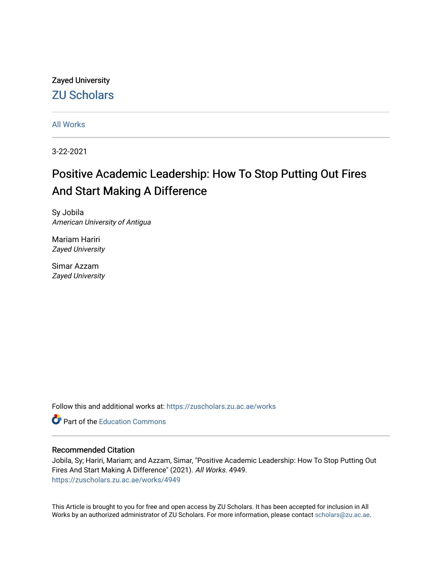## Zayed University [ZU Scholars](https://zuscholars.zu.ac.ae/)

[All Works](https://zuscholars.zu.ac.ae/works)

3-22-2021

# Positive Academic Leadership: How To Stop Putting Out Fires And Start Making A Difference

Sy Jobila American University of Antigua

Mariam Hariri Zayed University

Simar Azzam Zayed University

Follow this and additional works at: [https://zuscholars.zu.ac.ae/works](https://zuscholars.zu.ac.ae/works?utm_source=zuscholars.zu.ac.ae%2Fworks%2F4949&utm_medium=PDF&utm_campaign=PDFCoverPages)

**C** Part of the [Education Commons](http://network.bepress.com/hgg/discipline/784?utm_source=zuscholars.zu.ac.ae%2Fworks%2F4949&utm_medium=PDF&utm_campaign=PDFCoverPages)

## Recommended Citation

Jobila, Sy; Hariri, Mariam; and Azzam, Simar, "Positive Academic Leadership: How To Stop Putting Out Fires And Start Making A Difference" (2021). All Works. 4949. [https://zuscholars.zu.ac.ae/works/4949](https://zuscholars.zu.ac.ae/works/4949?utm_source=zuscholars.zu.ac.ae%2Fworks%2F4949&utm_medium=PDF&utm_campaign=PDFCoverPages)

This Article is brought to you for free and open access by ZU Scholars. It has been accepted for inclusion in All Works by an authorized administrator of ZU Scholars. For more information, please contact [scholars@zu.ac.ae](mailto:scholars@zu.ac.ae).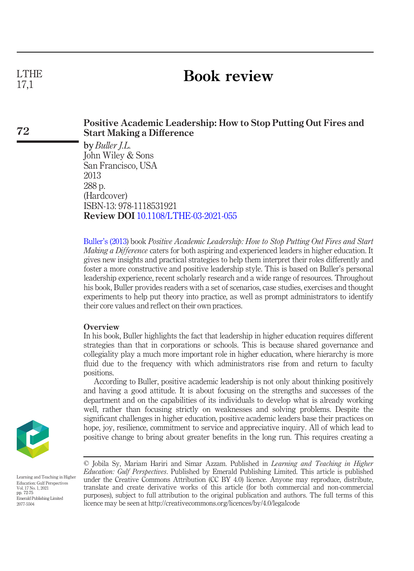## Book review

## Positive Academic Leadership: How to Stop Putting Out Fires and Start Making a Difference

by Buller *J.L.* John Wiley & Sons San Francisco, USA 2013 288 p. (Hardcover) ISBN-13: 978-1118531921 Review DOI [10.1108/LTHE-03-2021-055](http://dx.doi.org/10.1108/LTHE-03-2021-055)

Buller'[s \(2013\)](#page-4-0) book Positive Academic Leadership: How to Stop Putting Out Fires and Start Making a Difference caters for both aspiring and experienced leaders in higher education. It gives new insights and practical strategies to help them interpret their roles differently and foster a more constructive and positive leadership style. This is based on Buller's personal leadership experience, recent scholarly research and a wide range of resources. Throughout his book, Buller provides readers with a set of scenarios, case studies, exercises and thought experiments to help put theory into practice, as well as prompt administrators to identify their core values and reflect on their own practices.

### **Overview**

In his book, Buller highlights the fact that leadership in higher education requires different strategies than that in corporations or schools. This is because shared governance and collegiality play a much more important role in higher education, where hierarchy is more fluid due to the frequency with which administrators rise from and return to faculty positions.

According to Buller, positive academic leadership is not only about thinking positively and having a good attitude. It is about focusing on the strengths and successes of the department and on the capabilities of its individuals to develop what is already working well, rather than focusing strictly on weaknesses and solving problems. Despite the significant challenges in higher education, positive academic leaders base their practices on hope, joy, resilience, commitment to service and appreciative inquiry. All of which lead to positive change to bring about greater benefits in the long run. This requires creating a



Learning and Teaching in Higher Education: Gulf Perspectives Vol. 17 No. 1, 2021 pp. 72-75 Emerald Publishing Limited 2077-5504

## LTHE 17,1

72

<sup>©</sup> Jobila Sy, Mariam Hariri and Simar Azzam. Published in Learning and Teaching in Higher Education: Gulf Perspectives. Published by Emerald Publishing Limited. This article is published under the Creative Commons Attribution (CC BY 4.0) licence. Anyone may reproduce, distribute, translate and create derivative works of this article (for both commercial and non-commercial purposes), subject to full attribution to the original publication and authors. The full terms of this licence may be seen at http://creativecommons.org/licences/by/4.0/legalcode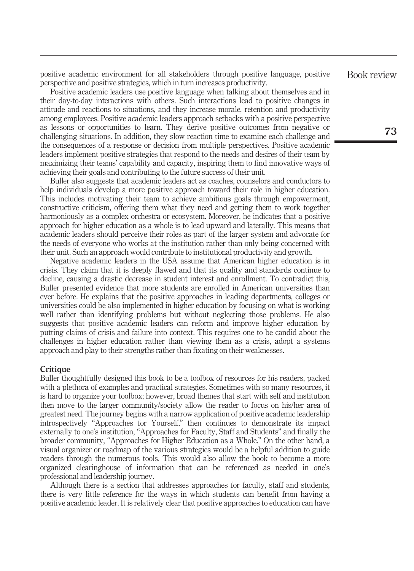positive academic environment for all stakeholders through positive language, positive perspective and positive strategies, which in turn increases productivity.

Positive academic leaders use positive language when talking about themselves and in their day-to-day interactions with others. Such interactions lead to positive changes in attitude and reactions to situations, and they increase morale, retention and productivity among employees. Positive academic leaders approach setbacks with a positive perspective as lessons or opportunities to learn. They derive positive outcomes from negative or challenging situations. In addition, they slow reaction time to examine each challenge and the consequences of a response or decision from multiple perspectives. Positive academic leaders implement positive strategies that respond to the needs and desires of their team by maximizing their teams' capability and capacity, inspiring them to find innovative ways of achieving their goals and contributing to the future success of their unit.

Buller also suggests that academic leaders act as coaches, counselors and conductors to help individuals develop a more positive approach toward their role in higher education. This includes motivating their team to achieve ambitious goals through empowerment, constructive criticism, offering them what they need and getting them to work together harmoniously as a complex orchestra or ecosystem. Moreover, he indicates that a positive approach for higher education as a whole is to lead upward and laterally. This means that academic leaders should perceive their roles as part of the larger system and advocate for the needs of everyone who works at the institution rather than only being concerned with their unit. Such an approach would contribute to institutional productivity and growth.

Negative academic leaders in the USA assume that American higher education is in crisis. They claim that it is deeply flawed and that its quality and standards continue to decline, causing a drastic decrease in student interest and enrollment. To contradict this, Buller presented evidence that more students are enrolled in American universities than ever before. He explains that the positive approaches in leading departments, colleges or universities could be also implemented in higher education by focusing on what is working well rather than identifying problems but without neglecting those problems. He also suggests that positive academic leaders can reform and improve higher education by putting claims of crisis and failure into context. This requires one to be candid about the challenges in higher education rather than viewing them as a crisis, adopt a systems approach and play to their strengths rather than fixating on their weaknesses.

#### Critique

Buller thoughtfully designed this book to be a toolbox of resources for his readers, packed with a plethora of examples and practical strategies. Sometimes with so many resources, it is hard to organize your toolbox; however, broad themes that start with self and institution then move to the larger community/society allow the reader to focus on his/her area of greatest need. The journey begins with a narrow application of positive academic leadership introspectively "Approaches for Yourself," then continues to demonstrate its impact externally to one's institution, "Approaches for Faculty, Staff and Students" and finally the broader community, "Approaches for Higher Education as a Whole." On the other hand, a visual organizer or roadmap of the various strategies would be a helpful addition to guide readers through the numerous tools. This would also allow the book to become a more organized clearinghouse of information that can be referenced as needed in one's professional and leadership journey.

Although there is a section that addresses approaches for faculty, staff and students, there is very little reference for the ways in which students can benefit from having a positive academic leader. It is relatively clear that positive approaches to education can have Book review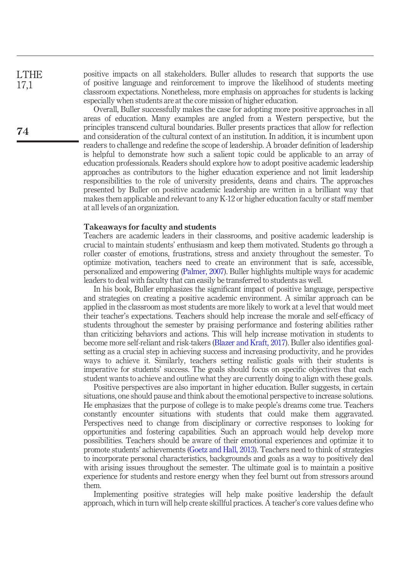positive impacts on all stakeholders. Buller alludes to research that supports the use of positive language and reinforcement to improve the likelihood of students meeting classroom expectations. Nonetheless, more emphasis on approaches for students is lacking especially when students are at the core mission of higher education.

Overall, Buller successfully makes the case for adopting more positive approaches in all areas of education. Many examples are angled from a Western perspective, but the principles transcend cultural boundaries. Buller presents practices that allow for reflection and consideration of the cultural context of an institution. In addition, it is incumbent upon readers to challenge and redefine the scope of leadership. A broader definition of leadership is helpful to demonstrate how such a salient topic could be applicable to an array of education professionals. Readers should explore how to adopt positive academic leadership approaches as contributors to the higher education experience and not limit leadership responsibilities to the role of university presidents, deans and chairs. The approaches presented by Buller on positive academic leadership are written in a brilliant way that makes them applicable and relevant to any K-12 or higher education faculty or staff member at all levels of an organization.

## Takeaways for faculty and students

Teachers are academic leaders in their classrooms, and positive academic leadership is crucial to maintain students' enthusiasm and keep them motivated. Students go through a roller coaster of emotions, frustrations, stress and anxiety throughout the semester. To optimize motivation, teachers need to create an environment that is safe, accessible, personalized and empowering [\(Palmer, 2007](#page-4-1)). Buller highlights multiple ways for academic leaders to deal with faculty that can easily be transferred to students as well.

In his book, Buller emphasizes the significant impact of positive language, perspective and strategies on creating a positive academic environment. A similar approach can be applied in the classroom as most students are more likely to work at a level that would meet their teacher's expectations. Teachers should help increase the morale and self-efficacy of students throughout the semester by praising performance and fostering abilities rather than criticizing behaviors and actions. This will help increase motivation in students to become more self-reliant and risk-takers ([Blazer and Kraft, 2017](#page-4-2)). Buller also identifies goalsetting as a crucial step in achieving success and increasing productivity, and he provides ways to achieve it. Similarly, teachers setting realistic goals with their students is imperative for students' success. The goals should focus on specific objectives that each student wants to achieve and outline what they are currently doing to align with these goals.

Positive perspectives are also important in higher education. Buller suggests, in certain situations, one should pause and think about the emotional perspective to increase solutions. He emphasizes that the purpose of college is to make people's dreams come true. Teachers constantly encounter situations with students that could make them aggravated. Perspectives need to change from disciplinary or corrective responses to looking for opportunities and fostering capabilities. Such an approach would help develop more possibilities. Teachers should be aware of their emotional experiences and optimize it to promote students' achievements ([Goetz and Hall, 2013](#page-4-3)). Teachers need to think of strategies to incorporate personal characteristics, backgrounds and goals as a way to positively deal with arising issues throughout the semester. The ultimate goal is to maintain a positive experience for students and restore energy when they feel burnt out from stressors around them.

Implementing positive strategies will help make positive leadership the default approach, which in turn will help create skillful practices. A teacher's core values define who

LTHE 17,1